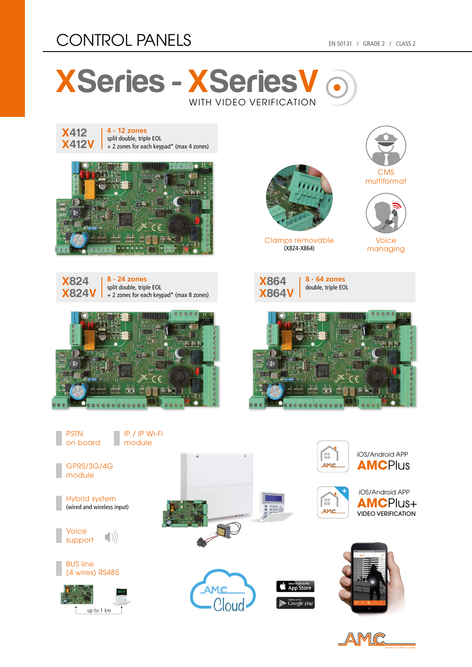## CONTROL PANELS EN 50131 / GRADE 2 / CLASS 2





**4 - 12 zones** split double, triple EOL + 2 zones for each keypad\* (max 4 zones)











Clamps removable (X824-X864)



multiformat



Voice managing